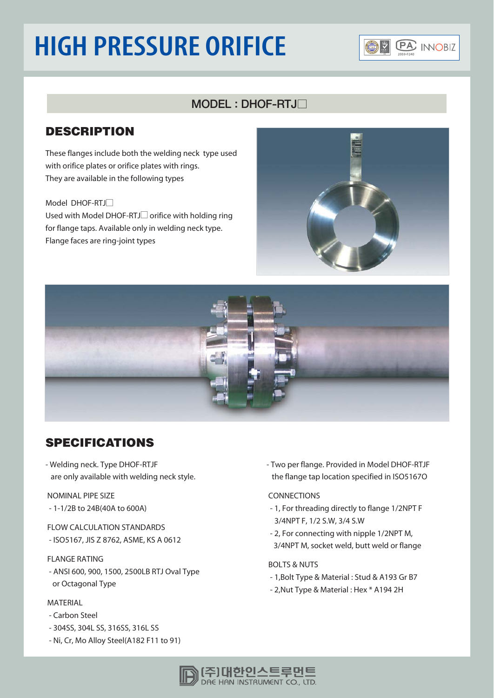## **HIGH PRESSURE ORIFICE**



## $MODEL$ : DHOF-RTJ $\neg$

### **DESCRIPTION**

These flanges include both the welding neck type used with orifice plates or orifice plates with rings. They are available in the following types

#### Model DHOF-RTJ

Used with Model DHOF-RTJ $\Box$  orifice with holding ring for flange taps. Available only in welding neck type. Flange faces are ring-joint types





## **SPECIFICATIONS**

- Welding neck. Type DHOF-RTJF are only available with welding neck style.

NOMINAL PIPE SIZE - 1-1/2B to 24B(40A to 600A)

FLOW CALCULATION STANDARDS - ISO5167, JIS Z 8762, ASME, KS A 0612

#### FLANGE RATING

- ANSI 600, 900, 1500, 2500LB RTJ Oval Type or Octagonal Type

#### MATERIAL

- Carbon Steel
- 304SS, 304L SS, 316SS, 316L SS
- Ni, Cr, Mo Alloy Steel(A182 F11 to 91)

- Two per flange. Provided in Model DHOF-RTJF the flange tap location specified in ISO5167O

#### CONNECTIONS

- 1, For threading directly to flange 1/2NPT F 3/4NPT F, 1/2 S.W, 3/4 S.W
- 2, For connecting with nipple 1/2NPT M, 3/4NPT M, socket weld, butt weld or flange

#### BOLTS & NUTS

- 1,Bolt Type & Material : Stud & A193 Gr B7
- 2,Nut Type & Material : Hex \* A194 2H